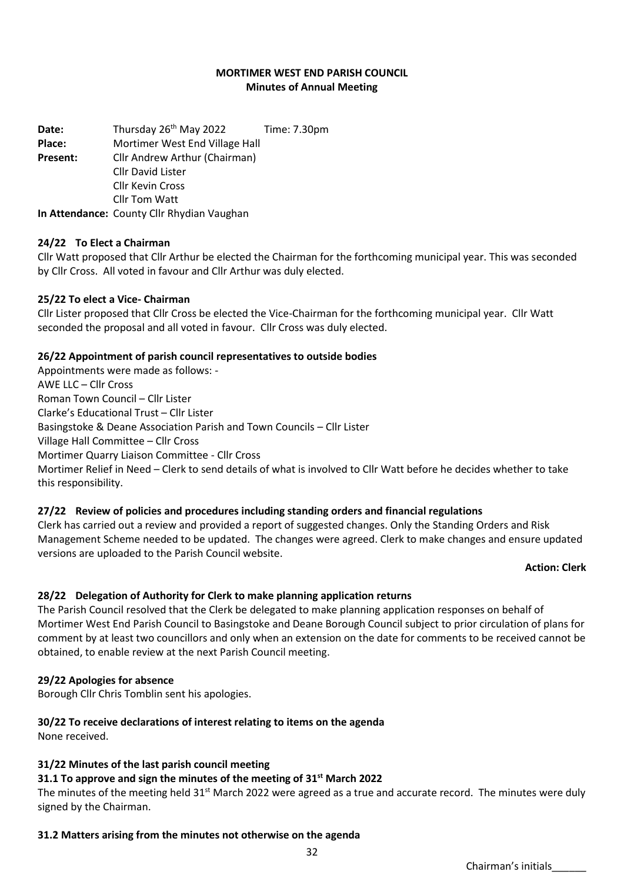### **MORTIMER WEST END PARISH COUNCIL Minutes of Annual Meeting**

Date: Thursday 26<sup>th</sup> May 2022 Time: 7.30pm **Place:** Mortimer West End Village Hall **Present:** Cllr Andrew Arthur (Chairman) Cllr David Lister Cllr Kevin Cross Cllr Tom Watt **In Attendance:** County Cllr Rhydian Vaughan

### **24/22 To Elect a Chairman**

Cllr Watt proposed that Cllr Arthur be elected the Chairman for the forthcoming municipal year. This was seconded by Cllr Cross. All voted in favour and Cllr Arthur was duly elected.

#### **25/22 To elect a Vice- Chairman**

Cllr Lister proposed that Cllr Cross be elected the Vice-Chairman for the forthcoming municipal year. Cllr Watt seconded the proposal and all voted in favour. Cllr Cross was duly elected.

#### **26/22 Appointment of parish council representatives to outside bodies**

Appointments were made as follows: - AWE LLC – Cllr Cross Roman Town Council – Cllr Lister Clarke's Educational Trust – Cllr Lister Basingstoke & Deane Association Parish and Town Councils – Cllr Lister Village Hall Committee – Cllr Cross Mortimer Quarry Liaison Committee - Cllr Cross Mortimer Relief in Need – Clerk to send details of what is involved to Cllr Watt before he decides whether to take this responsibility.

#### **27/22 Review of policies and procedures including standing orders and financial regulations**

Clerk has carried out a review and provided a report of suggested changes. Only the Standing Orders and Risk Management Scheme needed to be updated. The changes were agreed. Clerk to make changes and ensure updated versions are uploaded to the Parish Council website.

#### **Action: Clerk**

#### **28/22 Delegation of Authority for Clerk to make planning application returns**

The Parish Council resolved that the Clerk be delegated to make planning application responses on behalf of Mortimer West End Parish Council to Basingstoke and Deane Borough Council subject to prior circulation of plans for comment by at least two councillors and only when an extension on the date for comments to be received cannot be obtained, to enable review at the next Parish Council meeting.

#### **29/22 Apologies for absence**

Borough Cllr Chris Tomblin sent his apologies.

#### **30/22 To receive declarations of interest relating to items on the agenda** None received.

#### **31/22 Minutes of the last parish council meeting**

#### **31.1 To approve and sign the minutes of the meeting of 31st March 2022**

The minutes of the meeting held  $31<sup>st</sup>$  March 2022 were agreed as a true and accurate record. The minutes were duly signed by the Chairman.

### **31.2 Matters arising from the minutes not otherwise on the agenda**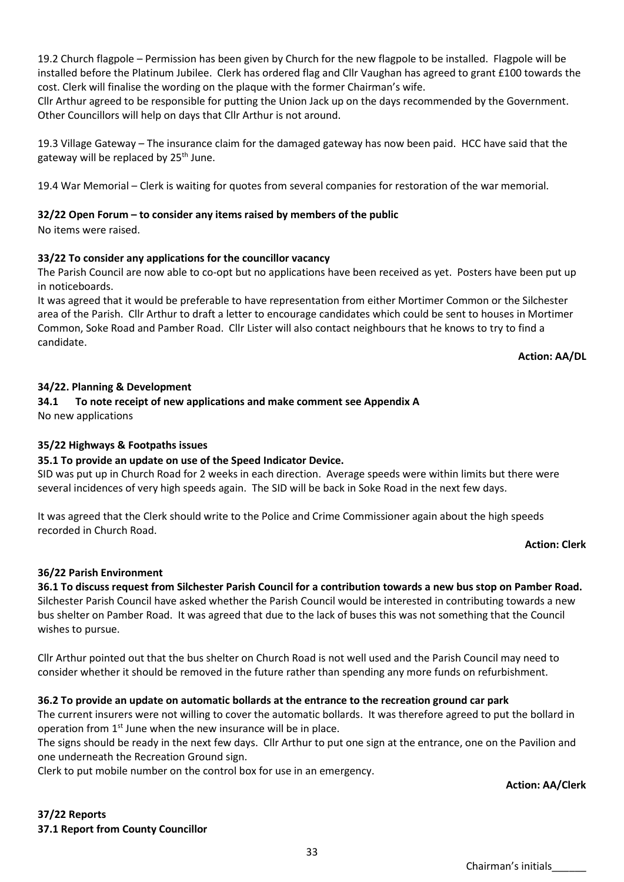19.2 Church flagpole – Permission has been given by Church for the new flagpole to be installed. Flagpole will be installed before the Platinum Jubilee. Clerk has ordered flag and Cllr Vaughan has agreed to grant £100 towards the cost. Clerk will finalise the wording on the plaque with the former Chairman's wife.

Cllr Arthur agreed to be responsible for putting the Union Jack up on the days recommended by the Government. Other Councillors will help on days that Cllr Arthur is not around.

19.3 Village Gateway – The insurance claim for the damaged gateway has now been paid. HCC have said that the gateway will be replaced by 25<sup>th</sup> June.

19.4 War Memorial – Clerk is waiting for quotes from several companies for restoration of the war memorial.

### **32/22 Open Forum – to consider any items raised by members of the public**

No items were raised.

### **33/22 To consider any applications for the councillor vacancy**

The Parish Council are now able to co-opt but no applications have been received as yet. Posters have been put up in noticeboards.

It was agreed that it would be preferable to have representation from either Mortimer Common or the Silchester area of the Parish. Cllr Arthur to draft a letter to encourage candidates which could be sent to houses in Mortimer Common, Soke Road and Pamber Road. Cllr Lister will also contact neighbours that he knows to try to find a candidate.

**Action: AA/DL**

### **34/22. Planning & Development**

**34.1 To note receipt of new applications and make comment see Appendix A** No new applications

### **35/22 Highways & Footpaths issues**

#### **35.1 To provide an update on use of the Speed Indicator Device.**

SID was put up in Church Road for 2 weeks in each direction. Average speeds were within limits but there were several incidences of very high speeds again. The SID will be back in Soke Road in the next few days.

It was agreed that the Clerk should write to the Police and Crime Commissioner again about the high speeds recorded in Church Road.

**Action: Clerk** 

### **36/22 Parish Environment**

**36.1 To discuss request from Silchester Parish Council for a contribution towards a new bus stop on Pamber Road.** Silchester Parish Council have asked whether the Parish Council would be interested in contributing towards a new bus shelter on Pamber Road. It was agreed that due to the lack of buses this was not something that the Council wishes to pursue.

Cllr Arthur pointed out that the bus shelter on Church Road is not well used and the Parish Council may need to consider whether it should be removed in the future rather than spending any more funds on refurbishment.

### **36.2 To provide an update on automatic bollards at the entrance to the recreation ground car park**

The current insurers were not willing to cover the automatic bollards. It was therefore agreed to put the bollard in operation from 1<sup>st</sup> June when the new insurance will be in place.

The signs should be ready in the next few days. Cllr Arthur to put one sign at the entrance, one on the Pavilion and one underneath the Recreation Ground sign.

Clerk to put mobile number on the control box for use in an emergency.

#### **Action: AA/Clerk**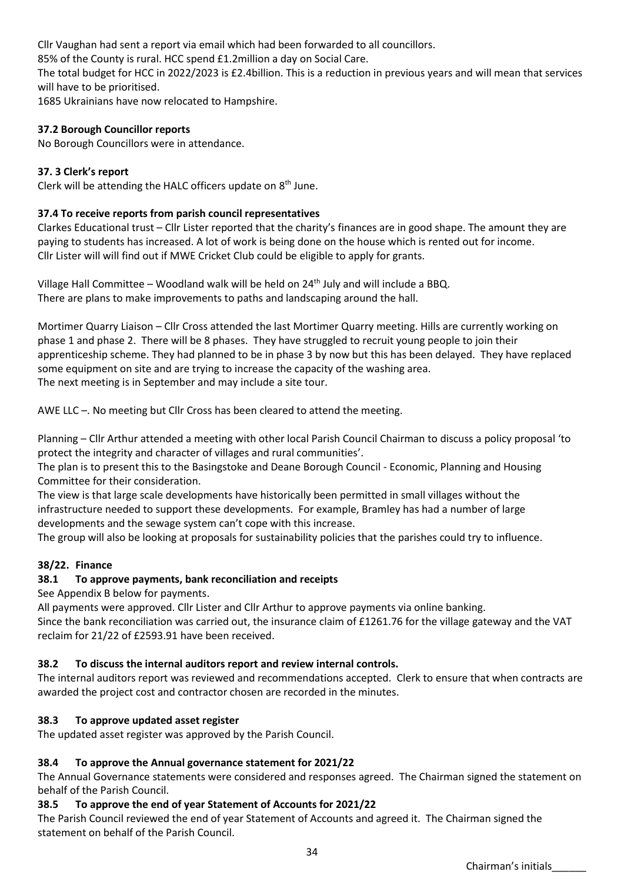Cllr Vaughan had sent a report via email which had been forwarded to all councillors.

85% of the County is rural. HCC spend £1.2million a day on Social Care.

The total budget for HCC in 2022/2023 is £2.4billion. This is a reduction in previous years and will mean that services will have to be prioritised.

1685 Ukrainians have now relocated to Hampshire.

# **37.2 Borough Councillor reports**

No Borough Councillors were in attendance.

## **37. 3 Clerk's report**

Clerk will be attending the HALC officers update on 8<sup>th</sup> June.

## **37.4 To receive reports from parish council representatives**

Clarkes Educational trust – Cllr Lister reported that the charity's finances are in good shape. The amount they are paying to students has increased. A lot of work is being done on the house which is rented out for income. Cllr Lister will will find out if MWE Cricket Club could be eligible to apply for grants.

Village Hall Committee – Woodland walk will be held on  $24<sup>th</sup>$  July and will include a BBQ. There are plans to make improvements to paths and landscaping around the hall.

Mortimer Quarry Liaison – Cllr Cross attended the last Mortimer Quarry meeting. Hills are currently working on phase 1 and phase 2. There will be 8 phases. They have struggled to recruit young people to join their apprenticeship scheme. They had planned to be in phase 3 by now but this has been delayed. They have replaced some equipment on site and are trying to increase the capacity of the washing area. The next meeting is in September and may include a site tour.

AWE LLC –. No meeting but Cllr Cross has been cleared to attend the meeting.

Planning – Cllr Arthur attended a meeting with other local Parish Council Chairman to discuss a policy proposal 'to protect the integrity and character of villages and rural communities'.

The plan is to present this to the Basingstoke and Deane Borough Council - Economic, Planning and Housing Committee for their consideration.

The view is that large scale developments have historically been permitted in small villages without the infrastructure needed to support these developments. For example, Bramley has had a number of large developments and the sewage system can't cope with this increase.

The group will also be looking at proposals for sustainability policies that the parishes could try to influence.

## **38/22. Finance**

## **38.1 To approve payments, bank reconciliation and receipts**

See Appendix B below for payments.

All payments were approved. Cllr Lister and Cllr Arthur to approve payments via online banking.

Since the bank reconciliation was carried out, the insurance claim of £1261.76 for the village gateway and the VAT reclaim for 21/22 of £2593.91 have been received.

## **38.2 To discuss the internal auditors report and review internal controls.**

The internal auditors report was reviewed and recommendations accepted. Clerk to ensure that when contracts are awarded the project cost and contractor chosen are recorded in the minutes.

## **38.3 To approve updated asset register**

The updated asset register was approved by the Parish Council.

## **38.4 To approve the Annual governance statement for 2021/22**

The Annual Governance statements were considered and responses agreed. The Chairman signed the statement on behalf of the Parish Council.

## **38.5 To approve the end of year Statement of Accounts for 2021/22**

The Parish Council reviewed the end of year Statement of Accounts and agreed it. The Chairman signed the statement on behalf of the Parish Council.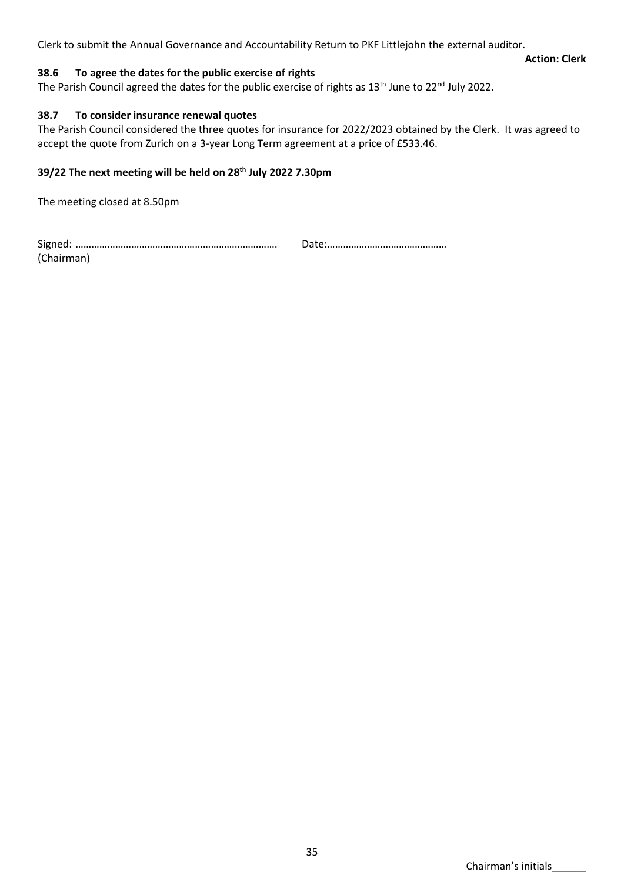Clerk to submit the Annual Governance and Accountability Return to PKF Littlejohn the external auditor.

### **38.6 To agree the dates for the public exercise of rights**

The Parish Council agreed the dates for the public exercise of rights as 13<sup>th</sup> June to 22<sup>nd</sup> July 2022.

### **38.7 To consider insurance renewal quotes**

The Parish Council considered the three quotes for insurance for 2022/2023 obtained by the Clerk. It was agreed to accept the quote from Zurich on a 3-year Long Term agreement at a price of £533.46.

## **39/22 The next meeting will be held on 28th July 2022 7.30pm**

The meeting closed at 8.50pm

Signed: …………………………………………………………………. Date:……………………………………… (Chairman)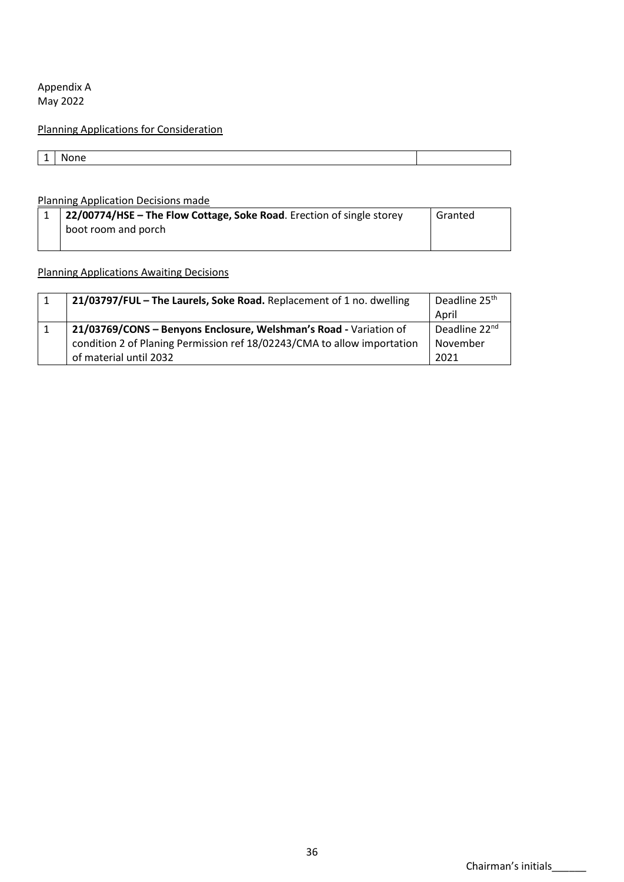Appendix A May 2022

# Planning Applications for Consideration

| - | 909<br>IМ |  |
|---|-----------|--|

### Planning Application Decisions made

| 1 22/00774/HSE – The Flow Cottage, Soke Road. Erection of single storey | Granted |
|-------------------------------------------------------------------------|---------|
| boot room and porch                                                     |         |
|                                                                         |         |

## Planning Applications Awaiting Decisions

| 21/03797/FUL - The Laurels, Soke Road. Replacement of 1 no. dwelling    | Deadline 25 <sup>th</sup> |
|-------------------------------------------------------------------------|---------------------------|
|                                                                         | April                     |
| 21/03769/CONS - Benyons Enclosure, Welshman's Road - Variation of       | Deadline 22 <sup>nd</sup> |
| condition 2 of Planing Permission ref 18/02243/CMA to allow importation | November                  |
| of material until 2032                                                  | 2021                      |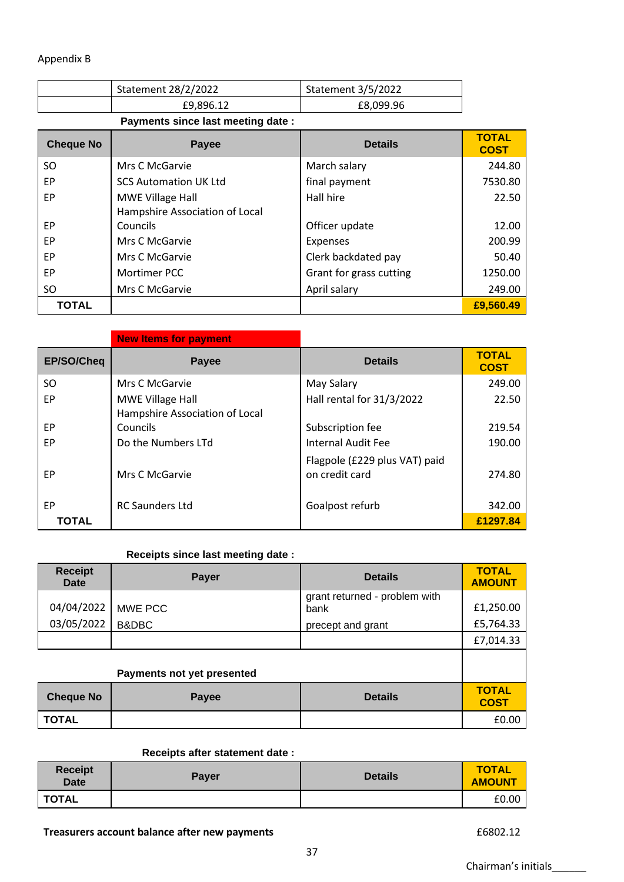## Appendix B

| Statement 28/2/2022 | <b>Statement 3/5/2022</b> |
|---------------------|---------------------------|
| £9,896.12           | £8,099.96                 |

**Payments since last meeting date :**

| <b>Cheque No</b> | Payee                          | <b>Details</b>          | <b>TOTAL</b><br><b>COST</b> |
|------------------|--------------------------------|-------------------------|-----------------------------|
| SO.              | Mrs C McGarvie                 | March salary            | 244.80                      |
| EP               | <b>SCS Automation UK Ltd</b>   | final payment           | 7530.80                     |
| EP               | MWE Village Hall               | Hall hire               | 22.50                       |
|                  | Hampshire Association of Local |                         |                             |
| EP               | Councils                       | Officer update          | 12.00                       |
| EP               | Mrs C McGarvie                 | Expenses                | 200.99                      |
| EP               | Mrs C McGarvie                 | Clerk backdated pay     | 50.40                       |
| <b>EP</b>        | Mortimer PCC                   | Grant for grass cutting | 1250.00                     |
| SO.              | Mrs C McGarvie                 | April salary            | 249.00                      |
| <b>TOTAL</b>     |                                |                         | £9,560.49                   |

|              | <b>New Items for payment</b>   |                                                 |                             |
|--------------|--------------------------------|-------------------------------------------------|-----------------------------|
| EP/SO/Cheq   | Payee                          | <b>Details</b>                                  | <b>TOTAL</b><br><b>COST</b> |
| SO           | Mrs C McGarvie                 | May Salary                                      | 249.00                      |
| EP           | MWE Village Hall               | Hall rental for 31/3/2022                       | 22.50                       |
|              | Hampshire Association of Local |                                                 |                             |
| EP           | Councils                       | Subscription fee                                | 219.54                      |
| EP           | Do the Numbers LTd             | Internal Audit Fee                              | 190.00                      |
| EP           | Mrs C McGarvie                 | Flagpole (£229 plus VAT) paid<br>on credit card | 274.80                      |
| EP           | <b>RC Saunders Ltd</b>         | Goalpost refurb                                 | 342.00                      |
| <b>TOTAL</b> |                                |                                                 | £1297.84                    |

## **Receipts since last meeting date :**

| <b>Receipt</b><br>Date | <b>Payer</b>               | <b>Details</b>                        | <b>TOTAL</b><br><b>AMOUNT</b> |
|------------------------|----------------------------|---------------------------------------|-------------------------------|
| 04/04/2022             | MWE PCC                    | grant returned - problem with<br>bank | £1,250.00                     |
| 03/05/2022             | B&DBC                      | precept and grant                     | £5,764.33                     |
|                        |                            |                                       | £7,014.33                     |
|                        | Payments not yet presented |                                       |                               |
| <b>Cheque No</b>       | <b>Payee</b>               | <b>Details</b>                        | <b>TOTAL</b><br><b>COST</b>   |
| <b>TOTAL</b>           |                            |                                       | £0.00                         |

### **Receipts after statement date :**

| <b>Receipt</b><br><b>Date</b> | <b>Payer</b> | <b>Details</b> | <b>TOTAL</b><br><b>AMOUNT</b> |
|-------------------------------|--------------|----------------|-------------------------------|
| <b>TOTAL</b>                  |              |                | £0.00                         |

**Treasurers account balance after new payments EXEC 2002.12 £6802.12**